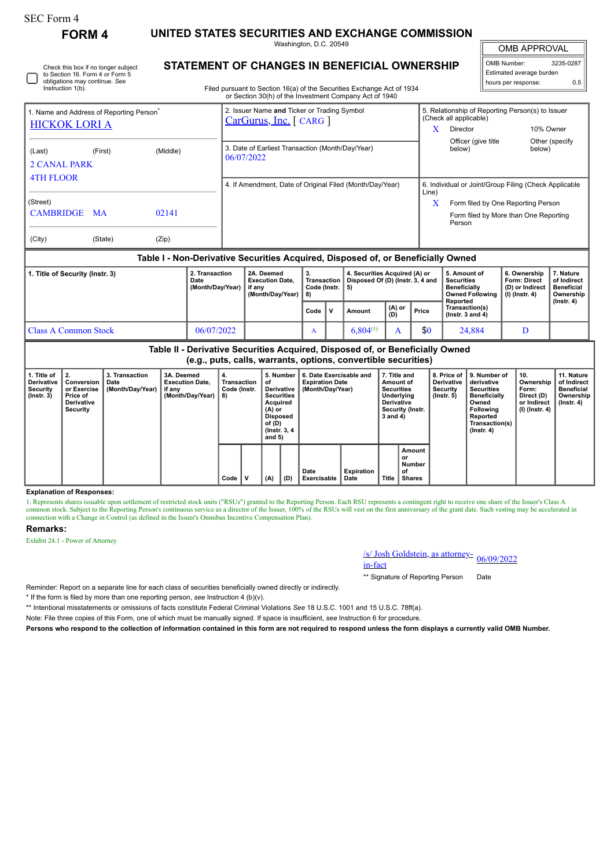## SEC Form 4

**FORM 4 UNITED STATES SECURITIES AND EXCHANGE COMMISSION**

Washington, D.C. 20549 **STATEMENT OF CHANGES IN BENEFICIAL OWNERSHIP**

OMB APPROVAL

| OMB Number:              | 3235-0287 |  |  |  |  |  |  |
|--------------------------|-----------|--|--|--|--|--|--|
| Estimated average burden |           |  |  |  |  |  |  |
| hours per response:      | ሰ ፣       |  |  |  |  |  |  |

 $\mathbb{I}$ 

| Filed pursuant to Section 16(a) of the Securities Exchange Act of 1934 |  |
|------------------------------------------------------------------------|--|
| or Section 30(h) of the Investment Company Act of 1940                 |  |

| 1. Name and Address of Reporting Person <sup>®</sup><br><b>HICKOK LORI A</b> |           |          | 2. Issuer Name and Ticker or Trading Symbol<br>CarGurus, Inc. [ CARG ] | x                                                              | 5. Relationship of Reporting Person(s) to Issuer<br>(Check all applicable)<br>Director<br>10% Owner |                           |  |  |  |
|------------------------------------------------------------------------------|-----------|----------|------------------------------------------------------------------------|----------------------------------------------------------------|-----------------------------------------------------------------------------------------------------|---------------------------|--|--|--|
|                                                                              |           |          |                                                                        |                                                                |                                                                                                     |                           |  |  |  |
| (Last)<br><b>2 CANAL PARK</b>                                                | (First)   | (Middle) | 3. Date of Earliest Transaction (Month/Day/Year)<br>06/07/2022         |                                                                | Officer (give title)<br>below)                                                                      | Other (specify)<br>below) |  |  |  |
| <b>4TH FLOOR</b>                                                             |           |          |                                                                        |                                                                |                                                                                                     |                           |  |  |  |
|                                                                              |           |          | 4. If Amendment, Date of Original Filed (Month/Day/Year)               | 6. Individual or Joint/Group Filing (Check Applicable<br>Line) |                                                                                                     |                           |  |  |  |
| (Street)                                                                     |           |          |                                                                        | X                                                              | Form filed by One Reporting Person                                                                  |                           |  |  |  |
| <b>CAMBRIDGE</b>                                                             | <b>MA</b> | 02141    |                                                                        |                                                                | Form filed by More than One Reporting<br>Person                                                     |                           |  |  |  |
| (City)                                                                       | (State)   | (Zip)    |                                                                        |                                                                |                                                                                                     |                           |  |  |  |

#### **Table I - Non-Derivative Securities Acquired, Disposed of, or Beneficially Owned**

| 1. Title of Security (Instr. 3) | 2. Transaction<br>Date<br>(Month/Day/Year) | 2A. Deemed<br><b>Execution Date.</b><br>if anv<br>(Month/Dav/Year) | Transaction<br>Code (Instr. $\vert$ 5)<br>1 8) |  | 4. Securities Acquired (A) or<br>Disposed Of (D) (Instr. 3, 4 and |                 |       | 5. Amount of<br><b>Securities</b><br><b>Beneficially</b><br>Owned Following<br>Reported | 6. Ownership<br><b>Form: Direct</b><br>(D) or Indirect<br>$(l)$ (lnstr. 4) | . Nature<br>of Indirect<br><b>Beneficial</b><br>Ownership<br>(Instr. 4) |
|---------------------------------|--------------------------------------------|--------------------------------------------------------------------|------------------------------------------------|--|-------------------------------------------------------------------|-----------------|-------|-----------------------------------------------------------------------------------------|----------------------------------------------------------------------------|-------------------------------------------------------------------------|
|                                 |                                            |                                                                    | Code                                           |  | Amount                                                            | $(A)$ or<br>(D) | Price | Transaction(s)<br>$($ lnstr. 3 and 4 $)$                                                |                                                                            |                                                                         |
| <b>Class A Common Stock</b>     | 06/07/2022                                 |                                                                    | A                                              |  | 6.804(1)                                                          |                 | \$0   | 24,884                                                                                  |                                                                            |                                                                         |

| Table II - Derivative Securities Acquired, Disposed of, or Beneficially Owned<br>(e.g., puts, calls, warrants, options, convertible securities) |                                                                              |                                                                                                                                                                   |  |                                                                       |                                              |                                                                       |     |                     |                                                                                                                        |                                                                  |                                                                                                                                                 |                                                                          |                                                                           |  |  |
|-------------------------------------------------------------------------------------------------------------------------------------------------|------------------------------------------------------------------------------|-------------------------------------------------------------------------------------------------------------------------------------------------------------------|--|-----------------------------------------------------------------------|----------------------------------------------|-----------------------------------------------------------------------|-----|---------------------|------------------------------------------------------------------------------------------------------------------------|------------------------------------------------------------------|-------------------------------------------------------------------------------------------------------------------------------------------------|--------------------------------------------------------------------------|---------------------------------------------------------------------------|--|--|
| 1. Title of<br><b>Derivative</b><br>Security<br>$($ lnstr. 3 $)$                                                                                | 2.<br>Conversion<br>or Exercise<br>Price of<br><b>Derivative</b><br>Security | 3. Transaction<br>3A. Deemed<br>4.<br>Date<br><b>Execution Date.</b><br>Transaction<br>οf<br>(Month/Day/Year)<br>if any<br>Code (Instr.<br>(Month/Day/Year)<br>8) |  | Acquired<br>(A) or<br>Disposed<br>of (D)<br>(Instr. 3, 4)<br>and $5)$ | 5. Number<br>Derivative<br><b>Securities</b> | 6. Date Exercisable and<br><b>Expiration Date</b><br>(Month/Day/Year) |     |                     | 7. Title and<br>Amount of<br><b>Securities</b><br>Underlying<br><b>Derivative</b><br>Security (Instr.<br>$3$ and $4$ ) | 8. Price of<br><b>Derivative</b><br>Security<br>$($ lnstr. 5 $)$ | 9. Number of<br>derivative<br><b>Securities</b><br><b>Beneficially</b><br>Owned<br><b>Following</b><br>Reported<br>Transaction(s)<br>(Instr. 4) | 10.<br>Ownership<br>Form:<br>Direct (D)<br>or Indirect<br>(I) (Instr. 4) | 11. Nature<br>of Indirect<br><b>Beneficial</b><br>Ownership<br>(Instr. 4) |  |  |
|                                                                                                                                                 |                                                                              |                                                                                                                                                                   |  | Code                                                                  |                                              | (A)                                                                   | (D) | Date<br>Exercisable | <b>Expiration</b><br>Date                                                                                              | <b>Title</b>                                                     | Amount<br>or<br>Number<br>οf<br><b>Shares</b>                                                                                                   |                                                                          |                                                                           |  |  |

#### **Explanation of Responses:**

1. Represents shares issuable upon settlement of restricted stock units ("RSUs") granted to the Reporting Person. Each RSU represents a contingent right to receive one share of the Issuer's Class A common stock. Subject to

### **Remarks:**

Exhibit 24.1 - Power of Attorney

# /s/ Josh Goldstein, as attorney-<br>in-fact

\*\* Signature of Reporting Person Date

Reminder: Report on a separate line for each class of securities beneficially owned directly or indirectly.

\* If the form is filed by more than one reporting person, *see* Instruction 4 (b)(v).

\*\* Intentional misstatements or omissions of facts constitute Federal Criminal Violations *See* 18 U.S.C. 1001 and 15 U.S.C. 78ff(a).

Note: File three copies of this Form, one of which must be manually signed. If space is insufficient, *see* Instruction 6 for procedure.

**Persons who respond to the collection of information contained in this form are not required to respond unless the form displays a currently valid OMB Number.**

Check this box if no longer subject to Section 16. Form 4 or Form 5 obligations may continue. *See*

Instruction 1(b).